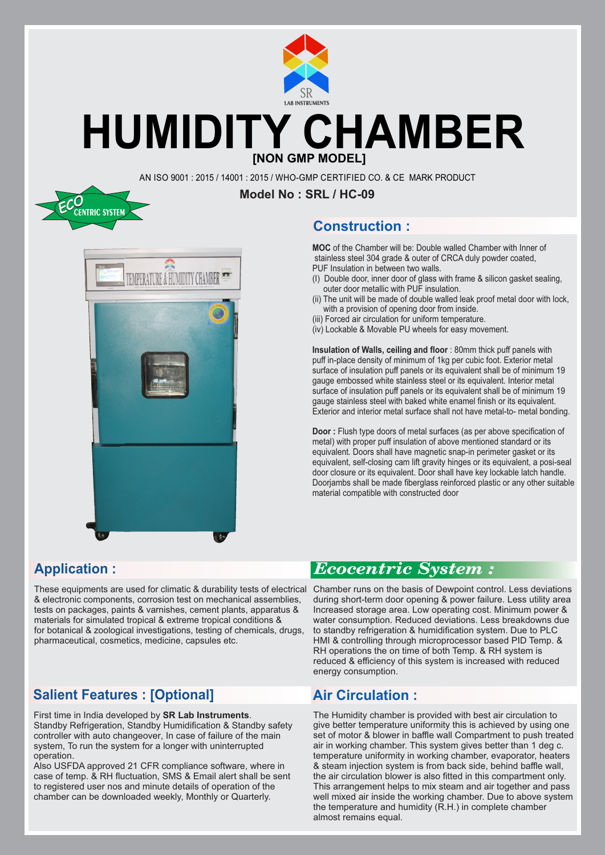

## **[NON GMP MODEL] HUMIDITY CHAMBER**

AN ISO 9001 : 2015 / 14001 : 2015 / WHO-GMP CERTIFIED CO. & CE MARK PRODUCT





#### **Construction :**

**MOC** of the Chamber will be: Double walled Chamber with Inner of stainless steel 304 grade & outer of CRCA duly powder coated, PUF Insulation in between two walls.

- (I) Double door, inner door of glass with frame & silicon gasket sealing, outer door metallic with PUF insulation.
- (ii) The unit will be made of double walled leak proof metal door with lock, with a provision of opening door from inside.
- (iii) Forced air circulation for uniform temperature.
- (iv) Lockable & Movable PU wheels for easy movement.

**Insulation of Walls, ceiling and floor** : 80mm thick puff panels with puff in-place density of minimum of 1kg per cubic foot. Exterior metal surface of insulation puff panels or its equivalent shall be of minimum 19 gauge embossed white stainless steel or its equivalent. Interior metal surface of insulation puff panels or its equivalent shall be of minimum 19 gauge stainless steel with baked white enamel finish or its equivalent. Exterior and interior metal surface shall not have metal-to- metal bonding.

**Door :** Flush type doors of metal surfaces (as per above specification of metal) with proper puff insulation of above mentioned standard or its equivalent. Doors shall have magnetic snap-in perimeter gasket or its equivalent, self-closing cam lift gravity hinges or its equivalent, a posi-seal door closure or its equivalent. Door shall have key lockable latch handle. Doorjambs shall be made fiberglass reinforced plastic or any other suitable material compatible with constructed door

#### **Application :**

These equipments are used for climatic & durability tests of electrical Chamber runs on the basis of Dewpoint control. Less deviations & electronic components, corrosion test on mechanical assemblies, tests on packages, paints & varnishes, cement plants, apparatus & materials for simulated tropical & extreme tropical conditions & for botanical & zoological investigations, testing of chemicals, drugs, pharmaceutical, cosmetics, medicine, capsules etc.

### **Salient Features : [Optional]**

First time in India developed by **SR Lab Instruments**. Standby Refrigeration, Standby Humidification & Standby safety controller with auto changeover, In case of failure of the main system, To run the system for a longer with uninterrupted operation.

Also USFDA approved 21 CFR compliance software, where in case of temp. & RH fluctuation, SMS & Email alert shall be sent to registered user nos and minute details of operation of the chamber can be downloaded weekly, Monthly or Quarterly.

## *Ecocentric System :*

during short-term door opening & power failure. Less utility area Increased storage area. Low operating cost. Minimum power & water consumption. Reduced deviations. Less breakdowns due to standby refrigeration & humidification system. Due to PLC HMI & controlling through microprocessor based PID Temp. & RH operations the on time of both Temp. & RH system is reduced & efficiency of this system is increased with reduced energy consumption.

#### **Air Circulation :**

The Humidity chamber is provided with best air circulation to give better temperature uniformity this is achieved by using one set of motor & blower in baffle wall Compartment to push treated air in working chamber. This system gives better than 1 deg c. temperature uniformity in working chamber, evaporator, heaters & steam injection system is from back side, behind baffle wall, the air circulation blower is also fitted in this compartment only. This arrangement helps to mix steam and air together and pass well mixed air inside the working chamber. Due to above system the temperature and humidity (R.H.) in complete chamber almost remains equal.